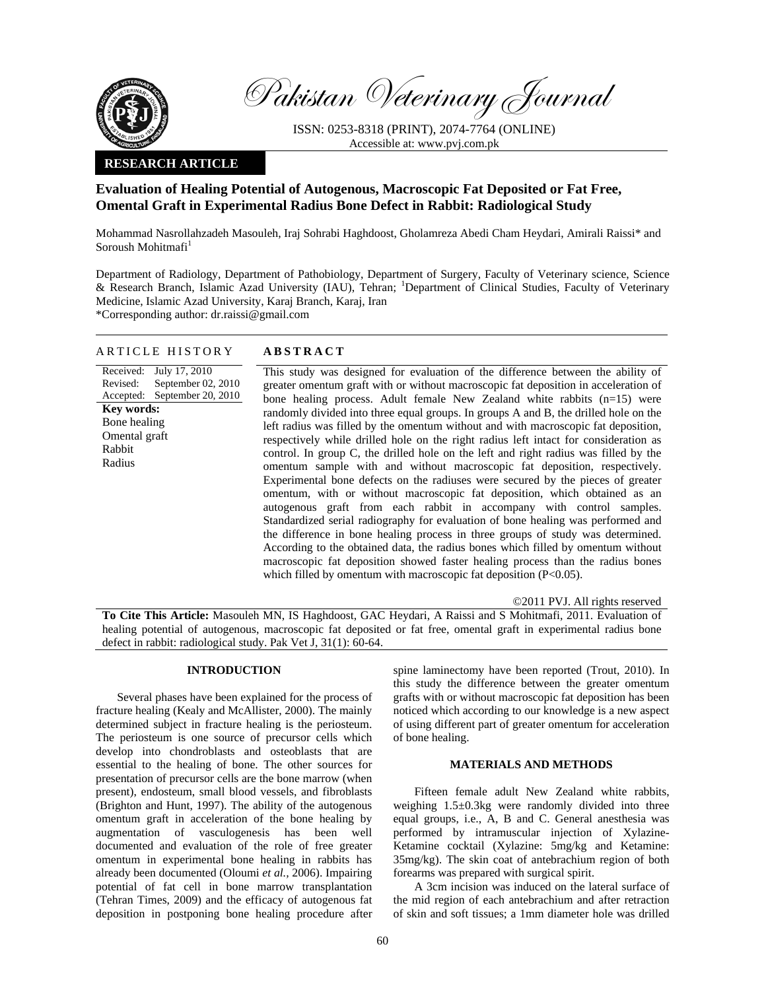

Pakistan Veterinary Journal

ISSN: 0253-8318 (PRINT), 2074-7764 (ONLINE) Accessible at: www.pvj.com.pk

### **RESEARCH ARTICLE**

# **Evaluation of Healing Potential of Autogenous, Macroscopic Fat Deposited or Fat Free, Omental Graft in Experimental Radius Bone Defect in Rabbit: Radiological Study**

Mohammad Nasrollahzadeh Masouleh, Iraj Sohrabi Haghdoost, Gholamreza Abedi Cham Heydari, Amirali Raissi\* and Soroush Mohitmafi<sup>1</sup>

Department of Radiology, Department of Pathobiology, Department of Surgery, Faculty of Veterinary science, Science & Research Branch, Islamic Azad University (IAU), Tehran; <sup>1</sup>Department of Clinical Studies, Faculty of Veterinary Medicine, Islamic Azad University, Karaj Branch, Karaj, Iran

\*Corresponding author: dr.raissi@gmail.com

Received: July 17, 2010

Revised: Accepted:

**Key words:**  Bone healing Omental graft Rabbit Radius

## ARTICLE HISTORY **ABSTRACT**

September 02, 2010 September 20, 2010 This study was designed for evaluation of the difference between the ability of greater omentum graft with or without macroscopic fat deposition in acceleration of bone healing process. Adult female New Zealand white rabbits (n=15) were randomly divided into three equal groups. In groups A and B, the drilled hole on the left radius was filled by the omentum without and with macroscopic fat deposition, respectively while drilled hole on the right radius left intact for consideration as control. In group C, the drilled hole on the left and right radius was filled by the omentum sample with and without macroscopic fat deposition, respectively. Experimental bone defects on the radiuses were secured by the pieces of greater omentum, with or without macroscopic fat deposition, which obtained as an autogenous graft from each rabbit in accompany with control samples. Standardized serial radiography for evaluation of bone healing was performed and the difference in bone healing process in three groups of study was determined. According to the obtained data, the radius bones which filled by omentum without macroscopic fat deposition showed faster healing process than the radius bones which filled by omentum with macroscopic fat deposition  $(P<0.05)$ .

©2011 PVJ. All rights reserved

**To Cite This Article:** Masouleh MN, IS Haghdoost, GAC Heydari, A Raissi and S Mohitmafi, 2011. Evaluation of healing potential of autogenous, macroscopic fat deposited or fat free, omental graft in experimental radius bone defect in rabbit: radiological study. Pak Vet J, 31(1): 60-64.

## **INTRODUCTION**

Several phases have been explained for the process of fracture healing (Kealy and McAllister, 2000). The mainly determined subject in fracture healing is the periosteum. The periosteum is one source of precursor cells which develop into chondroblasts and osteoblasts that are essential to the healing of bone. The other sources for presentation of precursor cells are the bone marrow (when present), endosteum, small blood vessels, and fibroblasts (Brighton and Hunt, 1997). The ability of the autogenous omentum graft in acceleration of the bone healing by augmentation of vasculogenesis has been well documented and evaluation of the role of free greater omentum in experimental bone healing in rabbits has already been documented (Oloumi *et al.,* 2006). Impairing potential of fat cell in bone marrow transplantation (Tehran Times, 2009) and the efficacy of autogenous fat deposition in postponing bone healing procedure after spine laminectomy have been reported (Trout, 2010). In this study the difference between the greater omentum grafts with or without macroscopic fat deposition has been noticed which according to our knowledge is a new aspect of using different part of greater omentum for acceleration of bone healing.

#### **MATERIALS AND METHODS**

Fifteen female adult New Zealand white rabbits, weighing 1.5±0.3kg were randomly divided into three equal groups, i.e., A, B and C. General anesthesia was performed by intramuscular injection of Xylazine-Ketamine cocktail (Xylazine: 5mg/kg and Ketamine: 35mg/kg). The skin coat of antebrachium region of both forearms was prepared with surgical spirit.

A 3cm incision was induced on the lateral surface of the mid region of each antebrachium and after retraction of skin and soft tissues; a 1mm diameter hole was drilled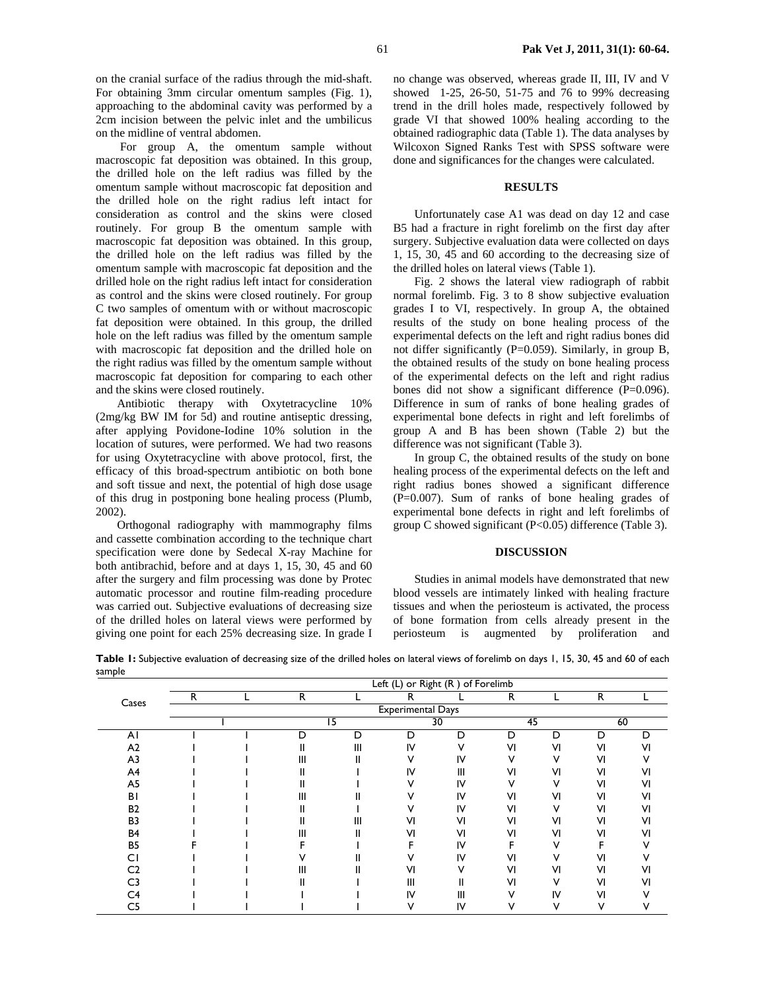on the cranial surface of the radius through the mid-shaft. For obtaining 3mm circular omentum samples (Fig. 1), approaching to the abdominal cavity was performed by a 2cm incision between the pelvic inlet and the umbilicus on the midline of ventral abdomen.

 For group A, the omentum sample without macroscopic fat deposition was obtained. In this group, the drilled hole on the left radius was filled by the omentum sample without macroscopic fat deposition and the drilled hole on the right radius left intact for consideration as control and the skins were closed routinely. For group B the omentum sample with macroscopic fat deposition was obtained. In this group, the drilled hole on the left radius was filled by the omentum sample with macroscopic fat deposition and the drilled hole on the right radius left intact for consideration as control and the skins were closed routinely. For group C two samples of omentum with or without macroscopic fat deposition were obtained. In this group, the drilled hole on the left radius was filled by the omentum sample with macroscopic fat deposition and the drilled hole on the right radius was filled by the omentum sample without macroscopic fat deposition for comparing to each other and the skins were closed routinely.

Antibiotic therapy with Oxytetracycline 10% (2mg/kg BW IM for 5d) and routine antiseptic dressing, after applying Povidone-Iodine 10% solution in the location of sutures, were performed. We had two reasons for using Oxytetracycline with above protocol, first, the efficacy of this broad-spectrum antibiotic on both bone and soft tissue and next, the potential of high dose usage of this drug in postponing bone healing process (Plumb, 2002).

Orthogonal radiography with mammography films and cassette combination according to the technique chart specification were done by Sedecal X-ray Machine for both antibrachid, before and at days 1, 15, 30, 45 and 60 after the surgery and film processing was done by Protec automatic processor and routine film-reading procedure was carried out. Subjective evaluations of decreasing size of the drilled holes on lateral views were performed by giving one point for each 25% decreasing size. In grade I

no change was observed, whereas grade II, III, IV and V showed 1-25, 26-50, 51-75 and 76 to 99% decreasing trend in the drill holes made, respectively followed by grade VI that showed 100% healing according to the obtained radiographic data (Table 1). The data analyses by Wilcoxon Signed Ranks Test with SPSS software were done and significances for the changes were calculated.

#### **RESULTS**

Unfortunately case A1 was dead on day 12 and case B5 had a fracture in right forelimb on the first day after surgery. Subjective evaluation data were collected on days 1, 15, 30, 45 and 60 according to the decreasing size of the drilled holes on lateral views (Table 1).

Fig. 2 shows the lateral view radiograph of rabbit normal forelimb. Fig. 3 to 8 show subjective evaluation grades I to VI, respectively. In group A, the obtained results of the study on bone healing process of the experimental defects on the left and right radius bones did not differ significantly ( $P=0.059$ ). Similarly, in group B, the obtained results of the study on bone healing process of the experimental defects on the left and right radius bones did not show a significant difference (P=0.096). Difference in sum of ranks of bone healing grades of experimental bone defects in right and left forelimbs of group A and B has been shown (Table 2) but the difference was not significant (Table 3).

In group C, the obtained results of the study on bone healing process of the experimental defects on the left and right radius bones showed a significant difference (P=0.007). Sum of ranks of bone healing grades of experimental bone defects in right and left forelimbs of group C showed significant (P<0.05) difference (Table 3).

## **DISCUSSION**

 Studies in animal models have demonstrated that new blood vessels are intimately linked with healing fracture tissues and when the periosteum is activated, the process of bone formation from cells already present in the periosteum is augmented by proliferation and

|                | Left (L) or Right (R) of Forelimb |  |    |   |    |    |    |    |    |    |
|----------------|-----------------------------------|--|----|---|----|----|----|----|----|----|
| Cases          | R                                 |  | R  |   | R  |    | R  |    | R  |    |
|                | <b>Experimental Days</b>          |  |    |   |    |    |    |    |    |    |
|                |                                   |  | 15 |   | 30 |    | 45 |    | 60 |    |
| ΑI             |                                   |  | D  | D | D  | D  | D  | D  | D  | D  |
| A2             |                                   |  | II | Ш | IV |    | VI | VI | VI |    |
| A <sub>3</sub> |                                   |  | Ш  |   |    | ı٧ |    |    | ٧I |    |
| A4             |                                   |  |    |   | IV | Ш  | VI | VI | VI | v١ |
| A <sub>5</sub> |                                   |  |    |   |    | I٧ |    |    | VI | ٧I |
| ΒI             |                                   |  | Ш  |   |    | IV | VI | VI | VI | ٧I |
| <b>B2</b>      |                                   |  | н  |   |    | I٧ | VI |    | VI | ٧I |
| B <sub>3</sub> |                                   |  | II | Ш | VI | VI | VI | VI | VI | ٧I |
| <b>B4</b>      |                                   |  | Ш  |   | VI | VI | VI | VI | VI | V١ |
| <b>B5</b>      |                                   |  |    |   |    | IV |    |    |    |    |
| СI             |                                   |  |    |   |    | IV | VI |    | ٧I |    |
| C <sub>2</sub> |                                   |  | Ш  |   | ٧I |    | VI | VI | VI |    |
| C3             |                                   |  |    |   | Ш  |    | VI | v  | VI | л  |
| C4             |                                   |  |    |   | IV | Ш  |    | IV | ٧I |    |
| C5             |                                   |  |    |   |    | IV |    |    |    |    |

**Table 1:** Subjective evaluation of decreasing size of the drilled holes on lateral views of forelimb on days 1, 15, 30, 45 and 60 of each sample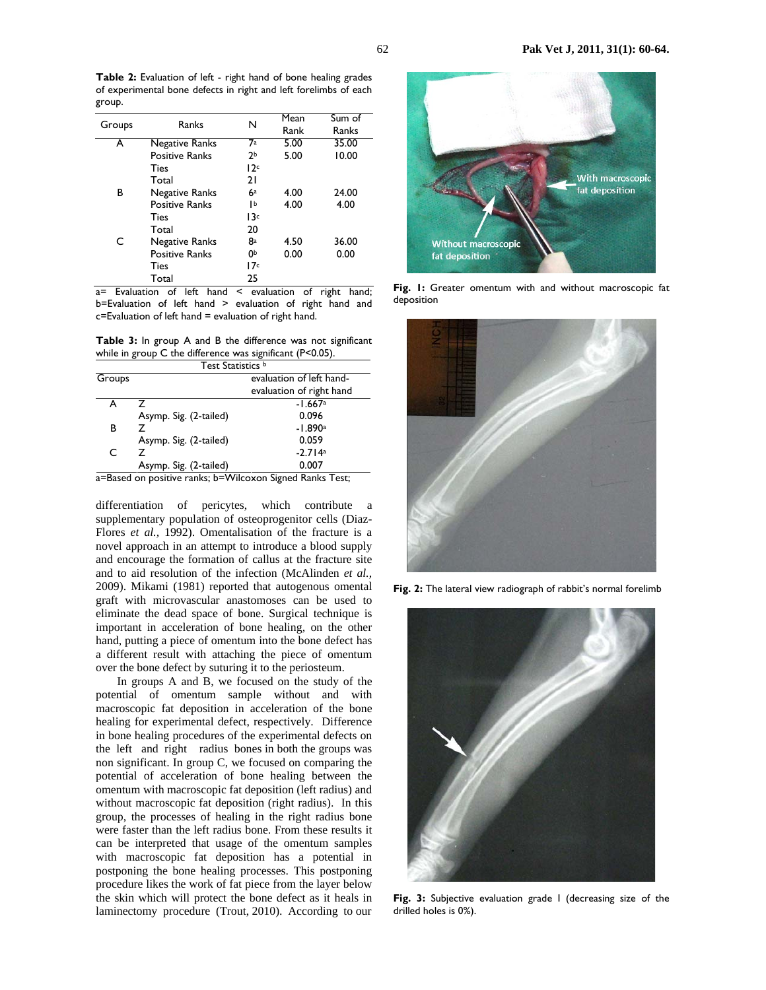**Table 2:** Evaluation of left - right hand of bone healing grades of experimental bone defects in right and left forelimbs of each

| o - - - - |                       |                |      |        |
|-----------|-----------------------|----------------|------|--------|
|           | Ranks                 | N              | Mean | Sum of |
| Groups    |                       |                | Rank | Ranks  |
| A         | Negative Ranks        | 7а             | 5.00 | 35.00  |
|           | <b>Positive Ranks</b> | 2 <sub>b</sub> | 5.00 | 10.00  |
|           | <b>Ties</b>           | 12c            |      |        |
|           | Total                 | 21             |      |        |
| В         | Negative Ranks        | 6a             | 4.00 | 24.00  |
|           | <b>Positive Ranks</b> | ĮЬ             | 4.00 | 4.00   |
|           | <b>Ties</b>           | 13c            |      |        |
|           | Total                 | 20             |      |        |
| C         | Negative Ranks        | 8а             | 4.50 | 36.00  |
|           | <b>Positive Ranks</b> | 0Ь             | 0.00 | 0.00   |
|           | <b>Ties</b>           | 17c            |      |        |
|           | Total                 | 25             |      |        |

group.

a= Evaluation of left hand < evaluation of right hand; b=Evaluation of left hand > evaluation of right hand and c=Evaluation of left hand = evaluation of right hand.

**Table 3:** In group A and B the difference was not significant while in group C the difference was significant (P<0.05).

| Test Statistics b |                                                                                                                                                                                                                                                                                                                               |                          |  |  |  |
|-------------------|-------------------------------------------------------------------------------------------------------------------------------------------------------------------------------------------------------------------------------------------------------------------------------------------------------------------------------|--------------------------|--|--|--|
| Groups            |                                                                                                                                                                                                                                                                                                                               | evaluation of left hand- |  |  |  |
|                   |                                                                                                                                                                                                                                                                                                                               | evaluation of right hand |  |  |  |
| А                 |                                                                                                                                                                                                                                                                                                                               | $-1.667a$                |  |  |  |
|                   | Asymp. Sig. (2-tailed)                                                                                                                                                                                                                                                                                                        | 0.096                    |  |  |  |
| В                 | 7                                                                                                                                                                                                                                                                                                                             | $-1.890a$                |  |  |  |
|                   | Asymp. Sig. (2-tailed)                                                                                                                                                                                                                                                                                                        | 0.059                    |  |  |  |
| C                 | 7                                                                                                                                                                                                                                                                                                                             | $-2.714a$                |  |  |  |
|                   | Asymp. Sig. (2-tailed)                                                                                                                                                                                                                                                                                                        | 0.007                    |  |  |  |
|                   | $\cdot$ . $\cdot$ . $\cdot$ . $\cdot$ . $\cdot$ . $\cdot$ . $\cdot$ . $\cdot$ . $\cdot$ . $\cdot$ . $\cdot$ . $\cdot$ . $\cdot$ . $\cdot$ . $\cdot$ . $\cdot$ . $\cdot$ . $\cdot$ . $\cdot$ . $\cdot$ . $\cdot$ . $\cdot$ . $\cdot$ . $\cdot$ . $\cdot$ . $\cdot$ . $\cdot$ . $\cdot$ . $\cdot$ . $\cdot$ . $\cdot$ . $\cdot$ | --<br>.                  |  |  |  |

a=Based on positive ranks; b=Wilcoxon Signed Ranks Test;

differentiation of pericytes, which contribute a supplementary population of osteoprogenitor cells (Diaz-Flores *et al.,* 1992). Omentalisation of the fracture is a novel approach in an attempt to introduce a blood supply and encourage the formation of callus at the fracture site and to aid resolution of the infection (McAlinden *et al.,* 2009). Mikami (1981) reported that autogenous omental graft with microvascular anastomoses can be used to eliminate the dead space of bone. Surgical technique is important in acceleration of bone healing, on the other hand, putting a piece of omentum into the bone defect has a different result with attaching the piece of omentum over the bone defect by suturing it to the periosteum.

In groups A and B, we focused on the study of the potential of omentum sample without and with macroscopic fat deposition in acceleration of the bone healing for experimental defect, respectively. Difference in bone healing procedures of the experimental defects on the left and right radius bones in both the groups was non significant. In group C, we focused on comparing the potential of acceleration of bone healing between the omentum with macroscopic fat deposition (left radius) and without macroscopic fat deposition (right radius). In this group, the processes of healing in the right radius bone were faster than the left radius bone. From these results it can be interpreted that usage of the omentum samples with macroscopic fat deposition has a potential in postponing the bone healing processes. This postponing procedure likes the work of fat piece from the layer below the skin which will protect the bone defect as it heals in laminectomy procedure (Trout, 2010). According to our



**Fig. 1:** Greater omentum with and without macroscopic fat deposition



**Fig. 2:** The lateral view radiograph of rabbit's normal forelimb



**Fig. 3:** Subjective evaluation grade I (decreasing size of the drilled holes is 0%).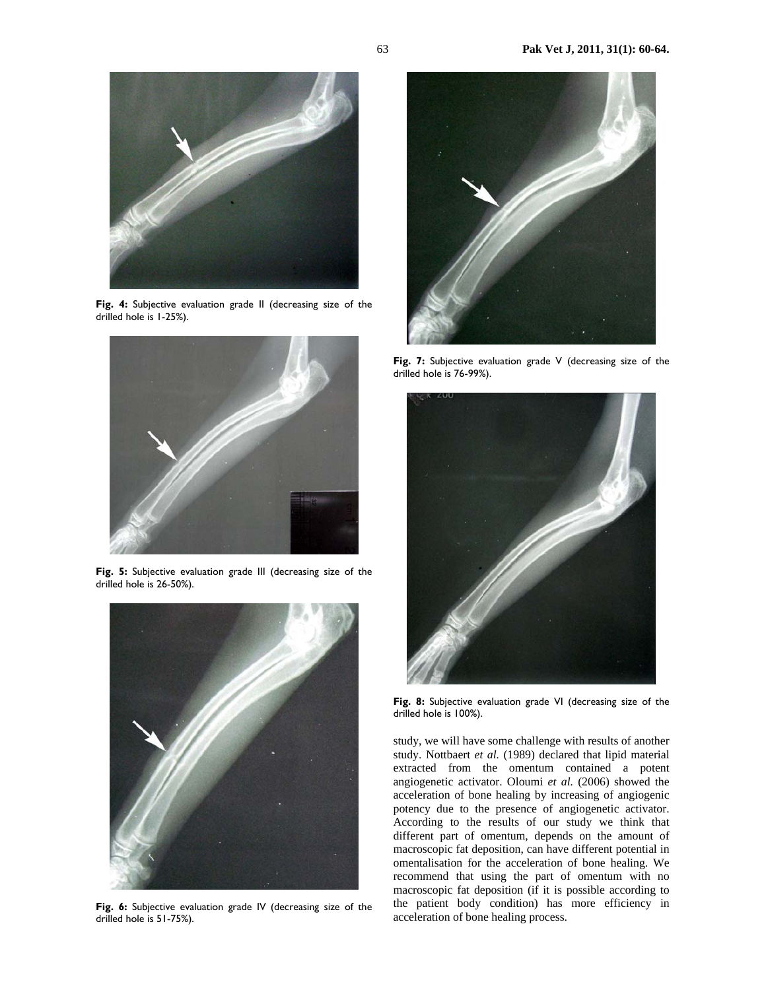

**Fig. 4:** Subjective evaluation grade II (decreasing size of the drilled hole is 1-25%).



**Fig. 5:** Subjective evaluation grade III (decreasing size of the drilled hole is 26-50%).



**Fig. 6:** Subjective evaluation grade IV (decreasing size of the drilled hole is 51-75%).



**Fig. 7:** Subjective evaluation grade V (decreasing size of the drilled hole is 76-99%).



**Fig. 8:** Subjective evaluation grade VI (decreasing size of the drilled hole is 100%).

study, we will have some challenge with results of another study. Nottbaert *et al.* (1989) declared that lipid material extracted from the omentum contained a potent angiogenetic activator. Oloumi *et al.* (2006) showed the acceleration of bone healing by increasing of angiogenic potency due to the presence of angiogenetic activator. According to the results of our study we think that different part of omentum, depends on the amount of macroscopic fat deposition, can have different potential in omentalisation for the acceleration of bone healing. We recommend that using the part of omentum with no macroscopic fat deposition (if it is possible according to the patient body condition) has more efficiency in acceleration of bone healing process.